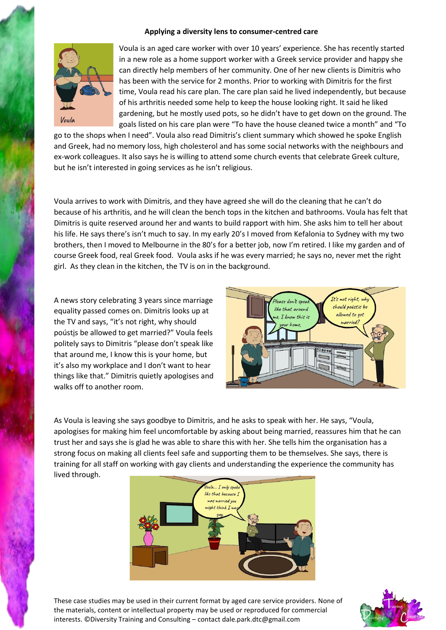#### **Applying a diversity lens to consumer-centred care**



Voula is an aged care worker with over 10 years' experience. She has recently started in a new role as a home support worker with a Greek service provider and happy she can directly help members of her community. One of her new clients is Dimitris who has been with the service for 2 months. Prior to working with Dimitris for the first time, Voula read his care plan. The care plan said he lived independently, but because of his arthritis needed some help to keep the house looking right. It said he liked gardening, but he mostly used pots, so he didn't have to get down on the ground. The goals listed on his care plan were "To have the house cleaned twice a month" and "To

go to the shops when I need". Voula also read Dimitris's client summary which showed he spoke English and Greek, had no memory loss, high cholesterol and has some social networks with the neighbours and ex-work colleagues. It also says he is willing to attend some church events that celebrate Greek culture, but he isn't interested in going services as he isn't religious.

Voula arrives to work with Dimitris, and they have agreed she will do the cleaning that he can't do because of his arthritis, and he will clean the bench tops in the kitchen and bathrooms. Voula has felt that Dimitris is quite reserved around her and wants to build rapport with him. She asks him to tell her about his life. He says there's isn't much to say. In my early 20's I moved from Kefalonia to Sydney with my two brothers, then I moved to Melbourne in the 80's for a better job, now I'm retired. I like my garden and of course Greek food, real Greek food. Voula asks if he was every married; he says no, never met the right girl. As they clean in the kitchen, the TV is on in the background.

A news story celebrating 3 years since marriage equality passed comes on. Dimitris looks up at the TV and says, "it's not right, why should poústi̱s be allowed to get married?" Voula feels politely says to Dimitris "please don't speak like that around me, I know this is your home, but it's also my workplace and I don't want to hear things like that." Dimitris quietly apologises and walks off to another room.



As Voula is leaving she says goodbye to Dimitris, and he asks to speak with her. He says, "Voula, apologises for making him feel uncomfortable by asking about being married, reassures him that he can trust her and says she is glad he was able to share this with her. She tells him the organisation has a strong focus on making all clients feel safe and supporting them to be themselves. She says, there is training for all staff on working with gay clients and understanding the experience the community has lived through.



These case studies may be used in their current format by aged care service providers. None of the materials, content or intellectual property may be used or reproduced for commercial interests. ©Diversity Training and Consulting – contact dale.park.dtc@gmail.com

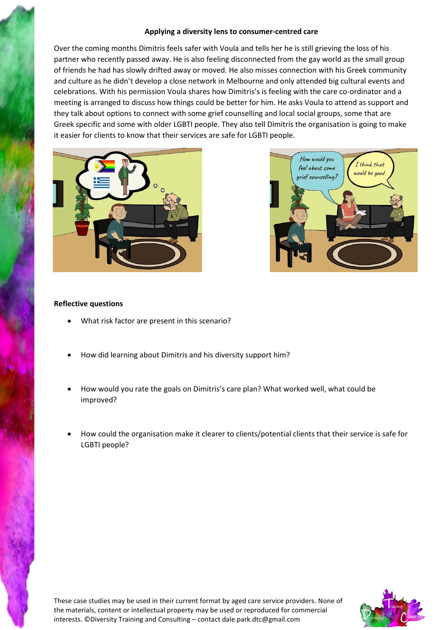## **Applying a diversity lens to consumer-centred care**

Over the coming months Dimitris feels safer with Voula and tells her he is still grieving the loss of his partner who recently passed away. He is also feeling disconnected from the gay world as the small group of friends he had has slowly drifted away or moved. He also misses connection with his Greek community and culture as he didn't develop a close network in Melbourne and only attended big cultural events and celebrations. With his permission Voula shares how Dimitris's is feeling with the care co-ordinator and a meeting is arranged to discuss how things could be better for him. He asks Voula to attend as support and they talk about options to connect with some grief counselling and local social groups, some that are Greek specific and some with older LGBTI people. They also tell Dimitris the organisation is going to make it easier for clients to know that their services are safe for LGBTI people.





## **Reflective questions**

- What risk factor are present in this scenario?
- How did learning about Dimitris and his diversity support him?
- How would you rate the goals on Dimitris's care plan? What worked well, what could be improved?
- How could the organisation make it clearer to clients/potential clients that their service is safe for LGBTI people?

These case studies may be used in their current format by aged care service providers. None of the materials, content or intellectual property may be used or reproduced for commercial interests. ©Diversity Training and Consulting – contact dale.park.dtc@gmail.com